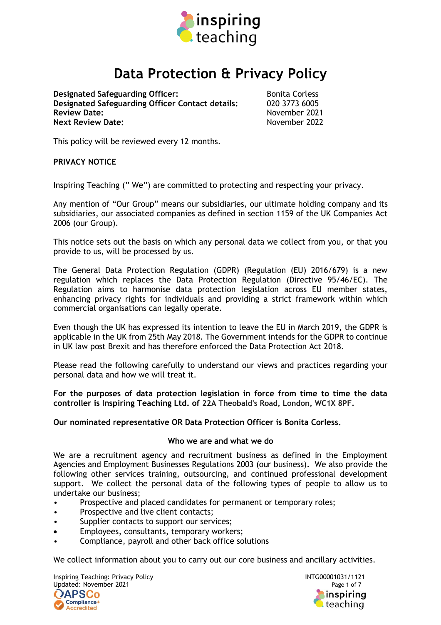

# **Data Protection & Privacy Policy**

**Designated Safeguarding Officer:** Bonita Corless<br> **Designated Safeguarding Officer Contact details:** 020 3773 6005 **Designated Safeguarding Officer Contact details: Review Date: November 2021 Next Review Date:** November 2022

This policy will be reviewed every 12 months.

## **PRIVACY NOTICE**

Inspiring Teaching (" We") are committed to protecting and respecting your privacy.

Any mention of "Our Group" means our subsidiaries, our ultimate holding company and its subsidiaries, our associated companies as defined in section 1159 of the UK Companies Act 2006 (our Group).

This notice sets out the basis on which any personal data we collect from you, or that you provide to us, will be processed by us.

The General Data Protection Regulation (GDPR) (Regulation (EU) 2016/679) is a new regulation which replaces the Data Protection Regulation (Directive 95/46/EC). The Regulation aims to harmonise data protection legislation across EU member states, enhancing privacy rights for individuals and providing a strict framework within which commercial organisations can legally operate.

Even though the UK has expressed its intention to leave the EU in March 2019, the GDPR is applicable in the UK from 25th May 2018. The Government intends for the GDPR to continue in UK law post Brexit and has therefore enforced the Data Protection Act 2018.

Please read the following carefully to understand our views and practices regarding your personal data and how we will treat it.

**For the purposes of data protection legislation in force from time to time the data controller is Inspiring Teaching Ltd. of 22A Theobald's Road, London, WC1X 8PF.**

## **Our nominated representative OR Data Protection Officer is Bonita Corless.**

## **Who we are and what we do**

We are a recruitment agency and recruitment business as defined in the Employment Agencies and Employment Businesses Regulations 2003 (our business). We also provide the following other services training, outsourcing, and continued professional development support. We collect the personal data of the following types of people to allow us to undertake our business;

- Prospective and placed candidates for permanent or temporary roles;
- Prospective and live client contacts;
- Supplier contacts to support our services;
- Employees, consultants, temporary workers;
- Compliance, payroll and other back office solutions

We collect information about you to carry out our core business and ancillary activities.

Inspiring Teaching: Privacy Policy International Communication of the INTG00001031/1121 Updated: November 2021 **Page 1 of 7** and 2021 **OAPSCo** Compliance+ Accredited

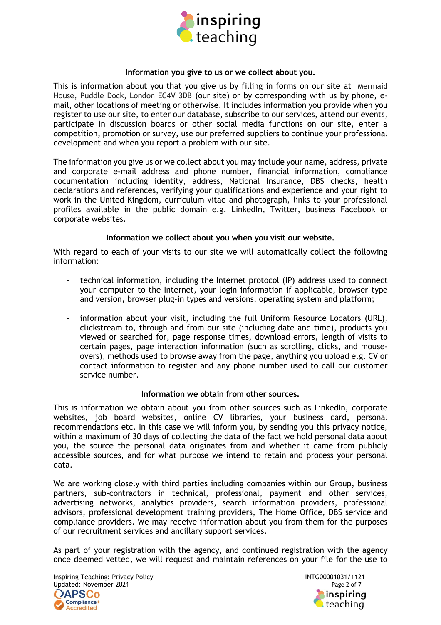

#### **Information you give to us or we collect about you.**

This is information about you that you give us by filling in forms on our site at Mermaid House, Puddle Dock, London EC4V 3DB (our site) or by corresponding with us by phone, email, other locations of meeting or otherwise. It includes information you provide when you register to use our site, to enter our database, subscribe to our services, attend our events, participate in discussion boards or other social media functions on our site, enter a competition, promotion or survey, use our preferred suppliers to continue your professional development and when you report a problem with our site.

The information you give us or we collect about you may include your name, address, private and corporate e-mail address and phone number, financial information, compliance documentation including identity, address, National Insurance, DBS checks, health declarations and references, verifying your qualifications and experience and your right to work in the United Kingdom, curriculum vitae and photograph, links to your professional profiles available in the public domain e.g. LinkedIn, Twitter, business Facebook or corporate websites.

## **Information we collect about you when you visit our website.**

With regard to each of your visits to our site we will automatically collect the following information:

- technical information, including the Internet protocol (IP) address used to connect your computer to the Internet, your login information if applicable, browser type and version, browser plug-in types and versions, operating system and platform;
- information about your visit, including the full Uniform Resource Locators (URL), clickstream to, through and from our site (including date and time), products you viewed or searched for, page response times, download errors, length of visits to certain pages, page interaction information (such as scrolling, clicks, and mouseovers), methods used to browse away from the page, anything you upload e.g. CV or contact information to register and any phone number used to call our customer service number.

## **Information we obtain from other sources.**

This is information we obtain about you from other sources such as LinkedIn, corporate websites, job board websites, online CV libraries, your business card, personal recommendations etc. In this case we will inform you, by sending you this privacy notice, within a maximum of 30 days of collecting the data of the fact we hold personal data about you, the source the personal data originates from and whether it came from publicly accessible sources, and for what purpose we intend to retain and process your personal data.

We are working closely with third parties including companies within our Group, business partners, sub-contractors in technical, professional, payment and other services, advertising networks, analytics providers, search information providers, professional advisors, professional development training providers, The Home Office, DBS service and compliance providers. We may receive information about you from them for the purposes of our recruitment services and ancillary support services.

As part of your registration with the agency, and continued registration with the agency once deemed vetted, we will request and maintain references on your file for the use to



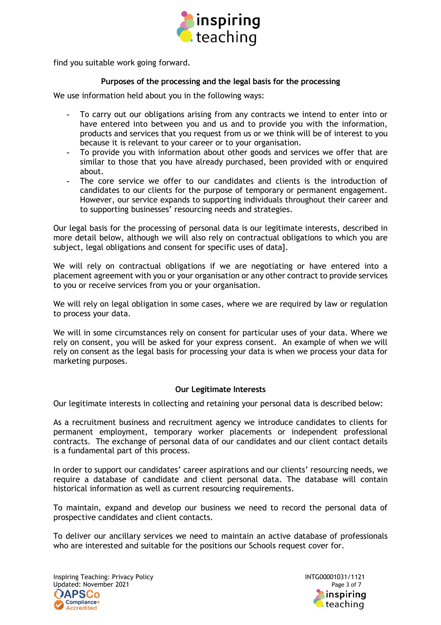

find you suitable work going forward.

# **Purposes of the processing and the legal basis for the processing**

We use information held about you in the following ways:

- To carry out our obligations arising from any contracts we intend to enter into or have entered into between you and us and to provide you with the information, products and services that you request from us or we think will be of interest to you because it is relevant to your career or to your organisation.
- To provide you with information about other goods and services we offer that are similar to those that you have already purchased, been provided with or enquired about.
- The core service we offer to our candidates and clients is the introduction of candidates to our clients for the purpose of temporary or permanent engagement. However, our service expands to supporting individuals throughout their career and to supporting businesses' resourcing needs and strategies.

Our legal basis for the processing of personal data is our legitimate interests, described in more detail below, although we will also rely on contractual obligations to which you are subject, legal obligations and consent for specific uses of data].

We will rely on contractual obligations if we are negotiating or have entered into a placement agreement with you or your organisation or any other contract to provide services to you or receive services from you or your organisation.

We will rely on legal obligation in some cases, where we are required by law or regulation to process your data.

We will in some circumstances rely on consent for particular uses of your data. Where we rely on consent, you will be asked for your express consent. An example of when we will rely on consent as the legal basis for processing your data is when we process your data for marketing purposes.

## **Our Legitimate Interests**

Our legitimate interests in collecting and retaining your personal data is described below:

As a recruitment business and recruitment agency we introduce candidates to clients for permanent employment, temporary worker placements or independent professional contracts. The exchange of personal data of our candidates and our client contact details is a fundamental part of this process.

In order to support our candidates' career aspirations and our clients' resourcing needs, we require a database of candidate and client personal data. The database will contain historical information as well as current resourcing requirements.

To maintain, expand and develop our business we need to record the personal data of prospective candidates and client contacts.

To deliver our ancillary services we need to maintain an active database of professionals who are interested and suitable for the positions our Schools request cover for.

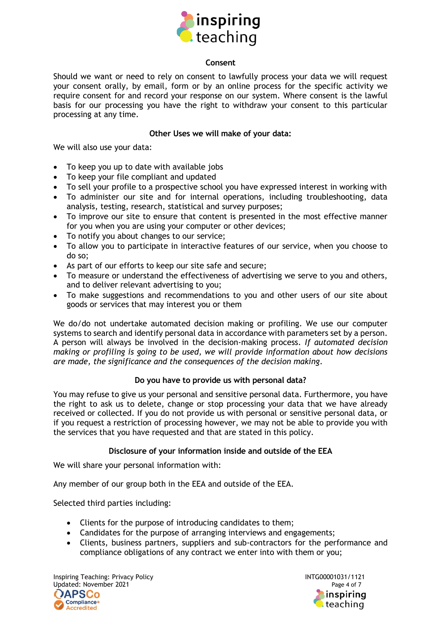

## **Consent**

Should we want or need to rely on consent to lawfully process your data we will request your consent orally, by email, form or by an online process for the specific activity we require consent for and record your response on our system. Where consent is the lawful basis for our processing you have the right to withdraw your consent to this particular processing at any time.

## **Other Uses we will make of your data:**

We will also use your data:

- To keep you up to date with available jobs
- To keep your file compliant and updated
- To sell your profile to a prospective school you have expressed interest in working with
- To administer our site and for internal operations, including troubleshooting, data analysis, testing, research, statistical and survey purposes;
- To improve our site to ensure that content is presented in the most effective manner for you when you are using your computer or other devices;
- To notify you about changes to our service;
- To allow you to participate in interactive features of our service, when you choose to do so;
- As part of our efforts to keep our site safe and secure;
- To measure or understand the effectiveness of advertising we serve to you and others, and to deliver relevant advertising to you;
- To make suggestions and recommendations to you and other users of our site about goods or services that may interest you or them

We do/do not undertake automated decision making or profiling. We use our computer systems to search and identify personal data in accordance with parameters set by a person. A person will always be involved in the decision-making process. *If automated decision making or profiling is going to be used, we will provide information about how decisions are made, the significance and the consequences of the decision making*.

## **Do you have to provide us with personal data?**

You may refuse to give us your personal and sensitive personal data. Furthermore, you have the right to ask us to delete, change or stop processing your data that we have already received or collected. If you do not provide us with personal or sensitive personal data, or if you request a restriction of processing however, we may not be able to provide you with the services that you have requested and that are stated in this policy.

## **Disclosure of your information inside and outside of the EEA**

We will share your personal information with:

Any member of our group both in the EEA and outside of the EEA.

Selected third parties including:

- Clients for the purpose of introducing candidates to them;
- Candidates for the purpose of arranging interviews and engagements;
- Clients, business partners, suppliers and sub-contractors for the performance and compliance obligations of any contract we enter into with them or you;

Inspiring Teaching: Privacy Policy International Communication of the INTG00001031/1121 Updated: November 2021 **Page 4 of 7** Page 4 of 7 **APSCo** Compliance+ **Accredited** 

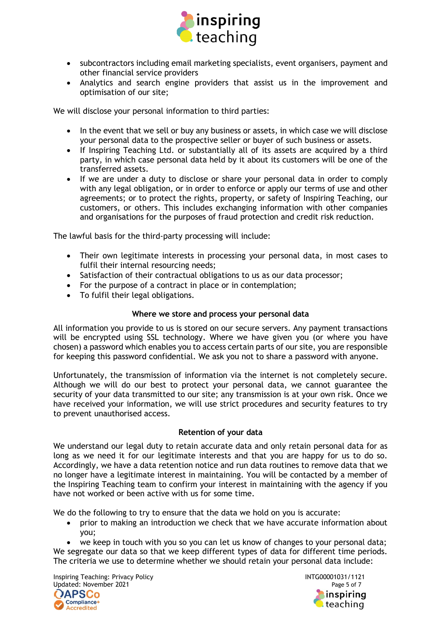

- subcontractors including email marketing specialists, event organisers, payment and other financial service providers
- Analytics and search engine providers that assist us in the improvement and optimisation of our site;

We will disclose your personal information to third parties:

- In the event that we sell or buy any business or assets, in which case we will disclose your personal data to the prospective seller or buyer of such business or assets.
- If Inspiring Teaching Ltd. or substantially all of its assets are acquired by a third party, in which case personal data held by it about its customers will be one of the transferred assets.
- If we are under a duty to disclose or share your personal data in order to comply with any legal obligation, or in order to enforce or apply our terms of use and other agreements; or to protect the rights, property, or safety of Inspiring Teaching, our customers, or others. This includes exchanging information with other companies and organisations for the purposes of fraud protection and credit risk reduction.

The lawful basis for the third-party processing will include:

- Their own legitimate interests in processing your personal data, in most cases to fulfil their internal resourcing needs;
- Satisfaction of their contractual obligations to us as our data processor;
- For the purpose of a contract in place or in contemplation;
- To fulfil their legal obligations.

## **Where we store and process your personal data**

All information you provide to us is stored on our secure servers. Any payment transactions will be encrypted using SSL technology. Where we have given you (or where you have chosen) a password which enables you to access certain parts of our site, you are responsible for keeping this password confidential. We ask you not to share a password with anyone.

Unfortunately, the transmission of information via the internet is not completely secure. Although we will do our best to protect your personal data, we cannot guarantee the security of your data transmitted to our site; any transmission is at your own risk. Once we have received your information, we will use strict procedures and security features to try to prevent unauthorised access.

## **Retention of your data**

We understand our legal duty to retain accurate data and only retain personal data for as long as we need it for our legitimate interests and that you are happy for us to do so. Accordingly, we have a data retention notice and run data routines to remove data that we no longer have a legitimate interest in maintaining. You will be contacted by a member of the Inspiring Teaching team to confirm your interest in maintaining with the agency if you have not worked or been active with us for some time.

We do the following to try to ensure that the data we hold on you is accurate:

• prior to making an introduction we check that we have accurate information about you;

• we keep in touch with you so you can let us know of changes to your personal data; We segregate our data so that we keep different types of data for different time periods. The criteria we use to determine whether we should retain your personal data include:

Inspiring Teaching: Privacy Policy INTG00001031/1121 Updated: November 2021 **Page 5 of 7** and 2021 **OAPSCo** Compliance+ **Accredited** 

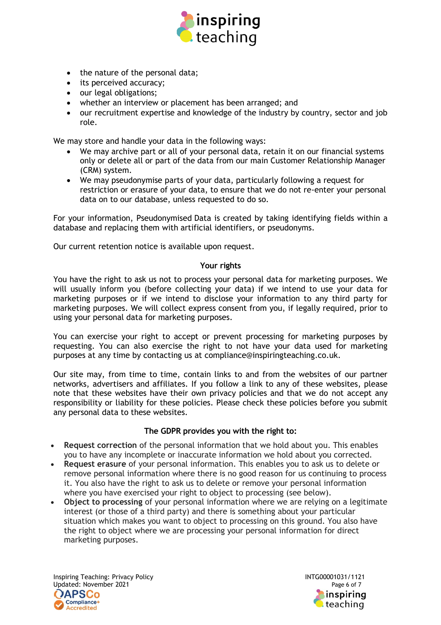

- the nature of the personal data;
- its perceived accuracy;
- our legal obligations;
- whether an interview or placement has been arranged; and
- our recruitment expertise and knowledge of the industry by country, sector and job role.

We may store and handle your data in the following ways:

- We may archive part or all of your personal data, retain it on our financial systems only or delete all or part of the data from our main Customer Relationship Manager (CRM) system.
- We may pseudonymise parts of your data, particularly following a request for restriction or erasure of your data, to ensure that we do not re-enter your personal data on to our database, unless requested to do so.

For your information, Pseudonymised Data is created by taking identifying fields within a database and replacing them with artificial identifiers, or pseudonyms.

Our current retention notice is available upon request.

#### **Your rights**

You have the right to ask us not to process your personal data for marketing purposes. We will usually inform you (before collecting your data) if we intend to use your data for marketing purposes or if we intend to disclose your information to any third party for marketing purposes. We will collect express consent from you, if legally required, prior to using your personal data for marketing purposes.

You can exercise your right to accept or prevent processing for marketing purposes by requesting. You can also exercise the right to not have your data used for marketing purposes at any time by contacting us at compliance@inspiringteaching.co.uk.

Our site may, from time to time, contain links to and from the websites of our partner networks, advertisers and affiliates. If you follow a link to any of these websites, please note that these websites have their own privacy policies and that we do not accept any responsibility or liability for these policies. Please check these policies before you submit any personal data to these websites.

## **The GDPR provides you with the right to:**

- **Request correction** of the personal information that we hold about you. This enables you to have any incomplete or inaccurate information we hold about you corrected.
- **Request erasure** of your personal information. This enables you to ask us to delete or remove personal information where there is no good reason for us continuing to process it. You also have the right to ask us to delete or remove your personal information where you have exercised your right to object to processing (see below).
- **Object to processing** of your personal information where we are relying on a legitimate interest (or those of a third party) and there is something about your particular situation which makes you want to object to processing on this ground. You also have the right to object where we are processing your personal information for direct marketing purposes.

Inspiring Teaching: Privacy Policy International Communication of the INTG00001031/1121 Updated: November 2021 **Page 6 of 7** and 2021 **APSCo** Compliance+ **Accredited**